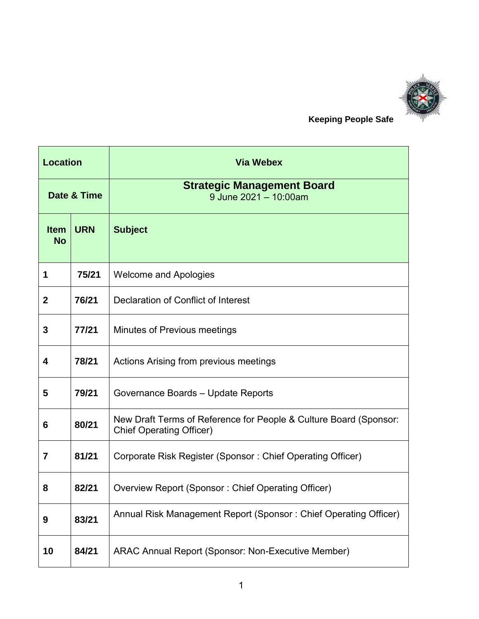

 **Keeping People Safe**

| <b>Location</b>          |            | <b>Via Webex</b>                                                                                     |
|--------------------------|------------|------------------------------------------------------------------------------------------------------|
| Date & Time              |            | <b>Strategic Management Board</b><br>9 June $2021 - 10:00$ am                                        |
| <b>Item</b><br><b>No</b> | <b>URN</b> | <b>Subject</b>                                                                                       |
| 1                        | 75/21      | <b>Welcome and Apologies</b>                                                                         |
| $\mathbf{2}$             | 76/21      | Declaration of Conflict of Interest                                                                  |
| 3                        | 77/21      | Minutes of Previous meetings                                                                         |
| 4                        | 78/21      | Actions Arising from previous meetings                                                               |
| 5                        | 79/21      | Governance Boards - Update Reports                                                                   |
| 6                        | 80/21      | New Draft Terms of Reference for People & Culture Board (Sponsor:<br><b>Chief Operating Officer)</b> |
| 7                        | 81/21      | Corporate Risk Register (Sponsor: Chief Operating Officer)                                           |
| 8                        | 82/21      | Overview Report (Sponsor: Chief Operating Officer)                                                   |
| 9                        | 83/21      | Annual Risk Management Report (Sponsor: Chief Operating Officer)                                     |
| 10                       | 84/21      | ARAC Annual Report (Sponsor: Non-Executive Member)                                                   |